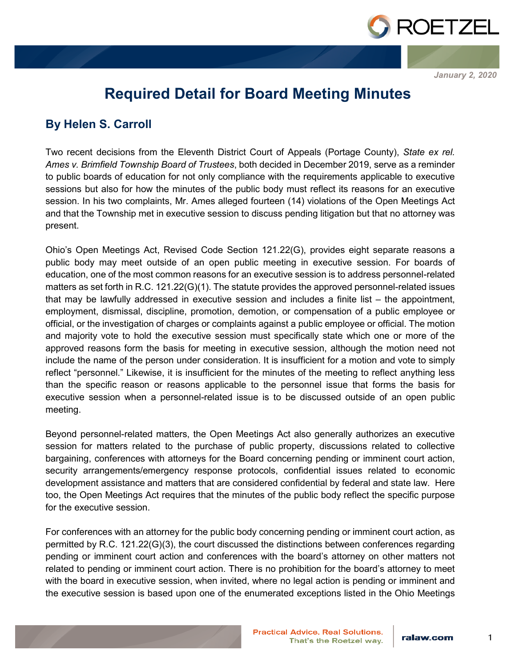

*January 2, 2020*

## **Required Detail for Board Meeting Minutes**

## **By Helen S. Carroll**

Two recent decisions from the Eleventh District Court of Appeals (Portage County), *State ex rel. Ames v. Brimfield Township Board of Trustees*, both decided in December 2019, serve as a reminder to public boards of education for not only compliance with the requirements applicable to executive sessions but also for how the minutes of the public body must reflect its reasons for an executive session. In his two complaints, Mr. Ames alleged fourteen (14) violations of the Open Meetings Act and that the Township met in executive session to discuss pending litigation but that no attorney was present.

Ohio's Open Meetings Act, Revised Code Section 121.22(G), provides eight separate reasons a public body may meet outside of an open public meeting in executive session. For boards of education, one of the most common reasons for an executive session is to address personnel-related matters as set forth in R.C. 121.22(G)(1). The statute provides the approved personnel-related issues that may be lawfully addressed in executive session and includes a finite list – the appointment, employment, dismissal, discipline, promotion, demotion, or compensation of a public employee or official, or the investigation of charges or complaints against a public employee or official. The motion and majority vote to hold the executive session must specifically state which one or more of the approved reasons form the basis for meeting in executive session, although the motion need not include the name of the person under consideration. It is insufficient for a motion and vote to simply reflect "personnel." Likewise, it is insufficient for the minutes of the meeting to reflect anything less than the specific reason or reasons applicable to the personnel issue that forms the basis for executive session when a personnel-related issue is to be discussed outside of an open public meeting.

Beyond personnel-related matters, the Open Meetings Act also generally authorizes an executive session for matters related to the purchase of public property, discussions related to collective bargaining, conferences with attorneys for the Board concerning pending or imminent court action, security arrangements/emergency response protocols, confidential issues related to economic development assistance and matters that are considered confidential by federal and state law. Here too, the Open Meetings Act requires that the minutes of the public body reflect the specific purpose for the executive session

For conferences with an attorney for the public body concerning pending or imminent court action, as permitted by R.C. 121.22(G)(3), the court discussed the distinctions between conferences regarding pending or imminent court action and conferences with the board's attorney on other matters not related to pending or imminent court action. There is no prohibition for the board's attorney to meet with the board in executive session, when invited, where no legal action is pending or imminent and the executive session is based upon one of the enumerated exceptions listed in the Ohio Meetings